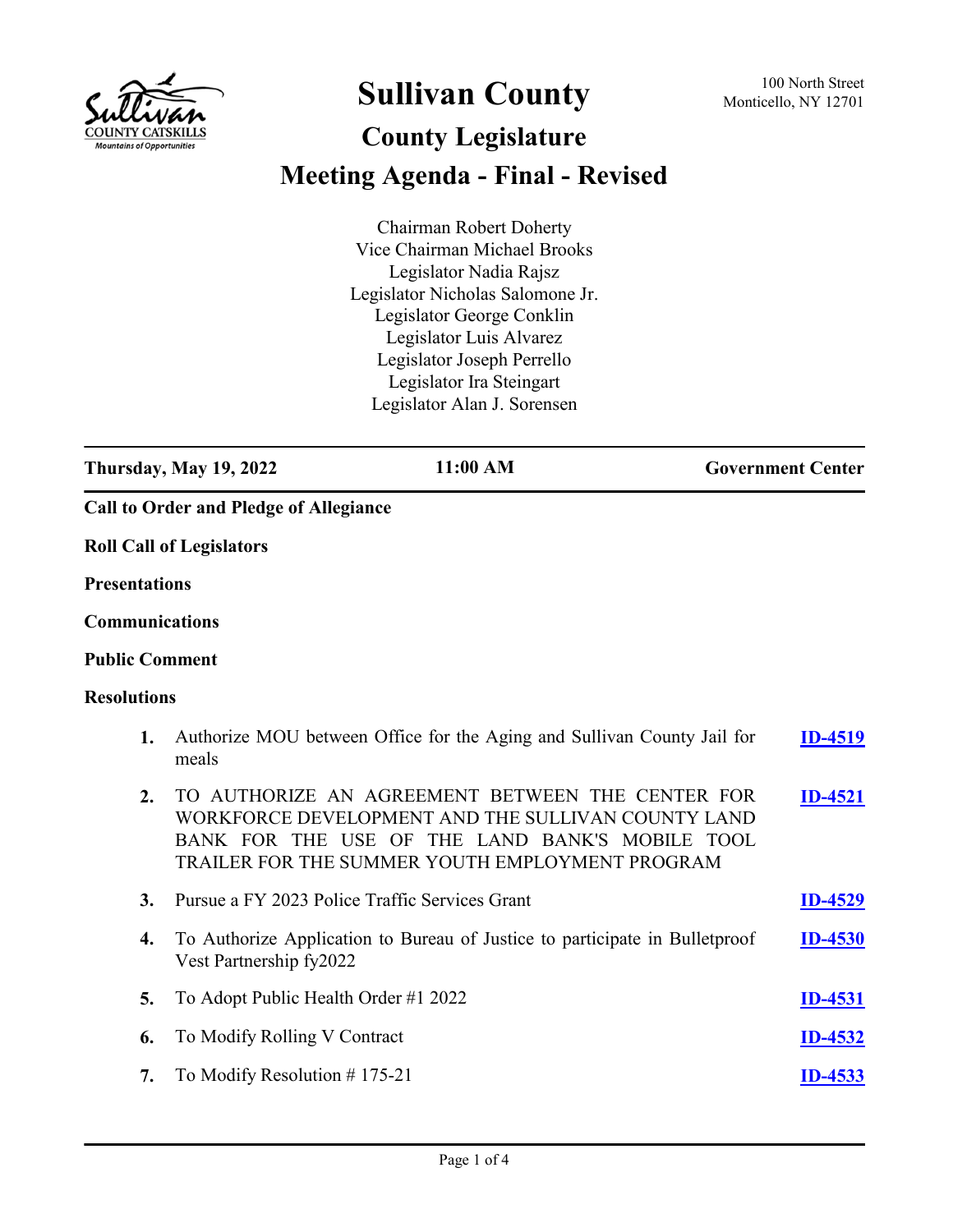

## **Sullivan County** 100 North Street 100 North Street

## **County Legislature Meeting Agenda - Final - Revised**

Chairman Robert Doherty Vice Chairman Michael Brooks Legislator Nadia Rajsz Legislator Nicholas Salomone Jr. Legislator George Conklin Legislator Luis Alvarez Legislator Joseph Perrello Legislator Ira Steingart Legislator Alan J. Sorensen

**Thursday, May 19, 2022 11:00 AM Government Center Call to Order and Pledge of Allegiance Roll Call of Legislators Presentations Communications Public Comment Resolutions 1.** Authorize MOU between Office for the Aging and Sullivan County Jail for meals **[ID-4519](http://sullivancountyny.legistar.com/gateway.aspx?m=l&id=/matter.aspx?key=1545) 2.** TO AUTHORIZE AN AGREEMENT BETWEEN THE CENTER FOR WORKFORCE DEVELOPMENT AND THE SULLIVAN COUNTY LAND BANK FOR THE USE OF THE LAND BANK'S MOBILE TOOL TRAILER FOR THE SUMMER YOUTH EMPLOYMENT PROGRAM **[ID-4521](http://sullivancountyny.legistar.com/gateway.aspx?m=l&id=/matter.aspx?key=1547) 3.** Pursue a FY 2023 Police Traffic Services Grant **[ID-4529](http://sullivancountyny.legistar.com/gateway.aspx?m=l&id=/matter.aspx?key=1555) 4.** To Authorize Application to Bureau of Justice to participate in Bulletproof Vest Partnership fy2022 **[ID-4530](http://sullivancountyny.legistar.com/gateway.aspx?m=l&id=/matter.aspx?key=1556) 5.** To Adopt Public Health Order #1 2022 **[ID-4531](http://sullivancountyny.legistar.com/gateway.aspx?m=l&id=/matter.aspx?key=1557) 6.** To Modify Rolling V Contract **[ID-4532](http://sullivancountyny.legistar.com/gateway.aspx?m=l&id=/matter.aspx?key=1558)**

**7.** To Modify Resolution # 175-21 **[ID-4533](http://sullivancountyny.legistar.com/gateway.aspx?m=l&id=/matter.aspx?key=1559)**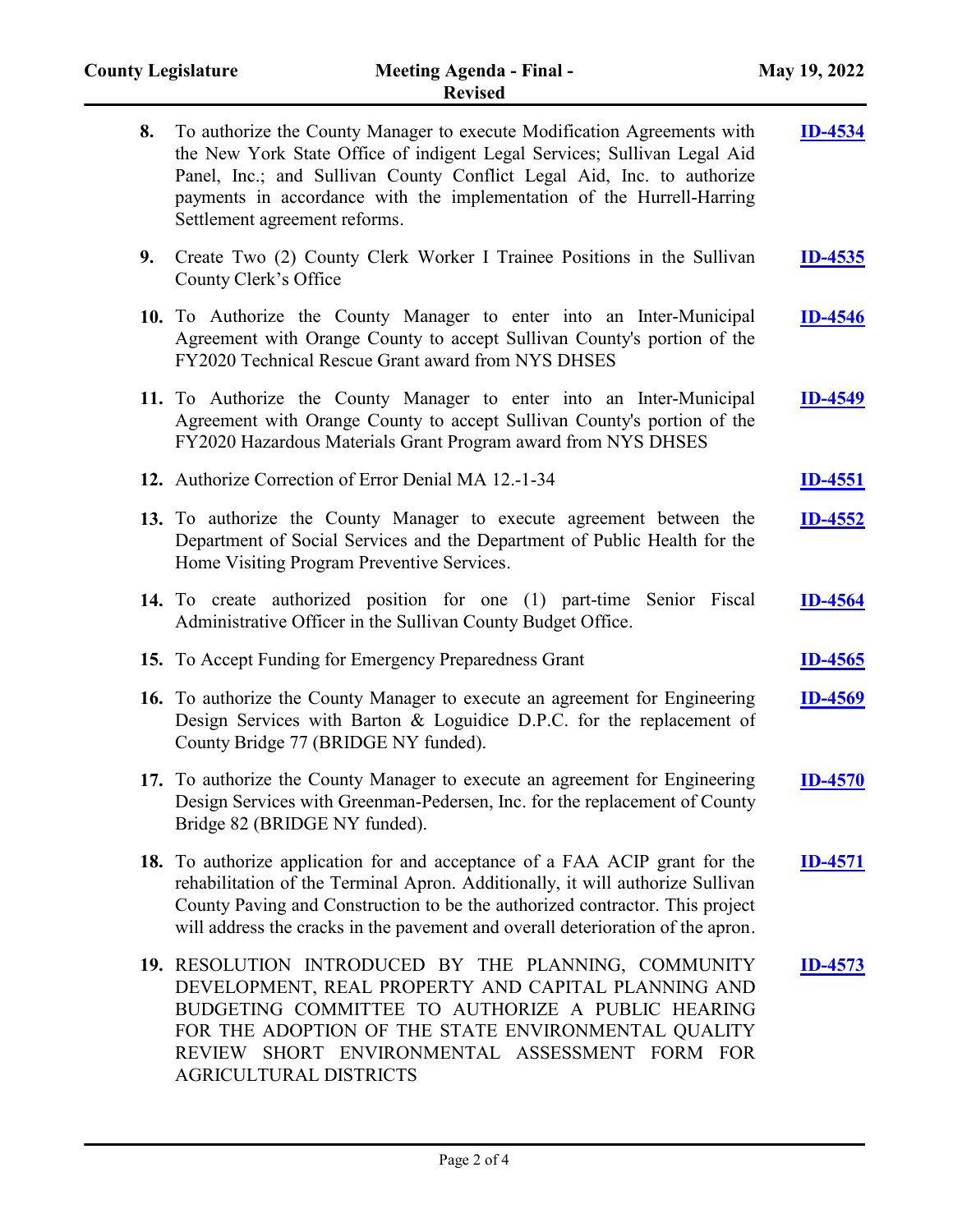| 8. | To authorize the County Manager to execute Modification Agreements with<br>the New York State Office of indigent Legal Services; Sullivan Legal Aid<br>Panel, Inc.; and Sullivan County Conflict Legal Aid, Inc. to authorize<br>payments in accordance with the implementation of the Hurrell-Harring<br>Settlement agreement reforms. | <b>ID-4534</b> |
|----|-----------------------------------------------------------------------------------------------------------------------------------------------------------------------------------------------------------------------------------------------------------------------------------------------------------------------------------------|----------------|
| 9. | Create Two (2) County Clerk Worker I Trainee Positions in the Sullivan<br>County Clerk's Office                                                                                                                                                                                                                                         | <b>ID-4535</b> |
|    | 10. To Authorize the County Manager to enter into an Inter-Municipal<br>Agreement with Orange County to accept Sullivan County's portion of the<br>FY2020 Technical Rescue Grant award from NYS DHSES                                                                                                                                   | <b>ID-4546</b> |
|    | 11. To Authorize the County Manager to enter into an Inter-Municipal<br>Agreement with Orange County to accept Sullivan County's portion of the<br>FY2020 Hazardous Materials Grant Program award from NYS DHSES                                                                                                                        | <b>ID-4549</b> |
|    | 12. Authorize Correction of Error Denial MA 12.-1-34                                                                                                                                                                                                                                                                                    | <b>ID-4551</b> |
|    | 13. To authorize the County Manager to execute agreement between the<br>Department of Social Services and the Department of Public Health for the<br>Home Visiting Program Preventive Services.                                                                                                                                         | <b>ID-4552</b> |
|    | 14. To create authorized position for one (1) part-time Senior Fiscal<br>Administrative Officer in the Sullivan County Budget Office.                                                                                                                                                                                                   | <b>ID-4564</b> |
|    | 15. To Accept Funding for Emergency Preparedness Grant                                                                                                                                                                                                                                                                                  | <b>ID-4565</b> |
|    | 16. To authorize the County Manager to execute an agreement for Engineering<br>Design Services with Barton & Loguidice D.P.C. for the replacement of<br>County Bridge 77 (BRIDGE NY funded).                                                                                                                                            | <b>ID-4569</b> |
|    | 17. To authorize the County Manager to execute an agreement for Engineering<br>Design Services with Greenman-Pedersen, Inc. for the replacement of County<br>Bridge 82 (BRIDGE NY funded).                                                                                                                                              | <b>ID-4570</b> |
|    | 18. To authorize application for and acceptance of a FAA ACIP grant for the<br>rehabilitation of the Terminal Apron. Additionally, it will authorize Sullivan<br>County Paving and Construction to be the authorized contractor. This project<br>will address the cracks in the pavement and overall deterioration of the apron.        | <u>ID-4571</u> |
|    | 19. RESOLUTION INTRODUCED BY THE PLANNING, COMMUNITY<br>DEVELOPMENT, REAL PROPERTY AND CAPITAL PLANNING AND<br>BUDGETING COMMITTEE TO AUTHORIZE A PUBLIC HEARING<br>FOR THE ADOPTION OF THE STATE ENVIRONMENTAL QUALITY<br>REVIEW SHORT ENVIRONMENTAL ASSESSMENT FORM FOR<br>AGRICULTURAL DISTRICTS                                     | <b>ID-4573</b> |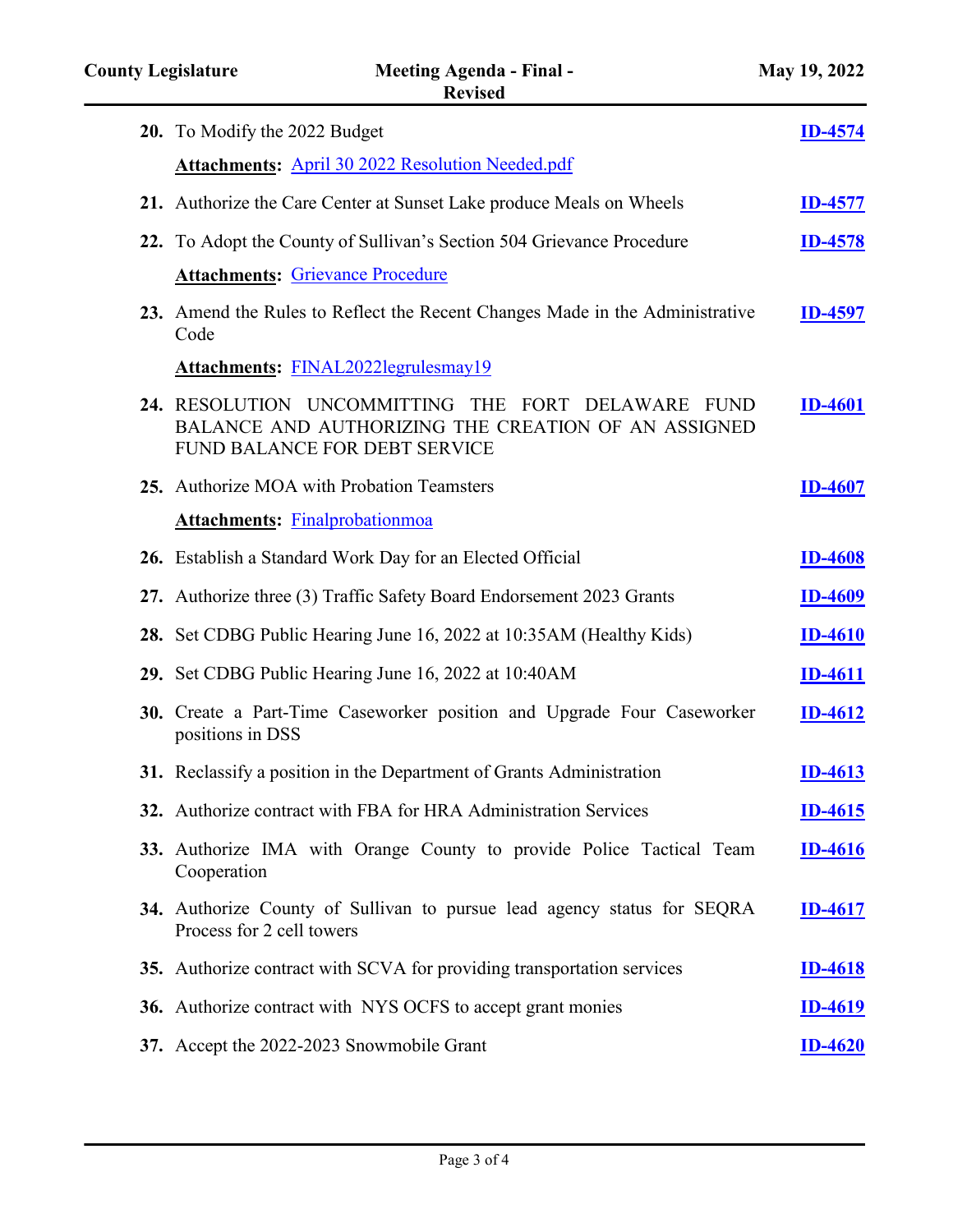| 20. To Modify the 2022 Budget                                                                                                                           | <b>ID-4574</b> |
|---------------------------------------------------------------------------------------------------------------------------------------------------------|----------------|
| <b>Attachments:</b> April 30 2022 Resolution Needed.pdf                                                                                                 |                |
| 21. Authorize the Care Center at Sunset Lake produce Meals on Wheels                                                                                    | <b>ID-4577</b> |
| 22. To Adopt the County of Sullivan's Section 504 Grievance Procedure                                                                                   | <b>ID-4578</b> |
| <b>Attachments: Grievance Procedure</b>                                                                                                                 |                |
| 23. Amend the Rules to Reflect the Recent Changes Made in the Administrative<br>Code                                                                    | <b>ID-4597</b> |
| <b>Attachments: FINAL2022legrulesmay19</b>                                                                                                              |                |
| 24. RESOLUTION UNCOMMITTING THE<br>FORT DELAWARE<br><b>FUND</b><br>BALANCE AND AUTHORIZING THE CREATION OF AN ASSIGNED<br>FUND BALANCE FOR DEBT SERVICE | <b>ID-4601</b> |
| 25. Authorize MOA with Probation Teamsters                                                                                                              | <b>ID-4607</b> |
| <b>Attachments: Finalprobationmoa</b>                                                                                                                   |                |
| 26. Establish a Standard Work Day for an Elected Official                                                                                               | <b>ID-4608</b> |
| 27. Authorize three (3) Traffic Safety Board Endorsement 2023 Grants                                                                                    | <b>ID-4609</b> |
| 28. Set CDBG Public Hearing June 16, 2022 at 10:35AM (Healthy Kids)                                                                                     | <b>ID-4610</b> |
| 29. Set CDBG Public Hearing June 16, 2022 at 10:40AM                                                                                                    | <b>ID-4611</b> |
| 30. Create a Part-Time Caseworker position and Upgrade Four Caseworker<br>positions in DSS                                                              | <b>ID-4612</b> |
| 31. Reclassify a position in the Department of Grants Administration                                                                                    | <b>ID-4613</b> |
| 32. Authorize contract with FBA for HRA Administration Services                                                                                         | $ID-4615$      |
| 33. Authorize IMA with Orange County to provide Police Tactical Team<br>Cooperation                                                                     | <b>ID-4616</b> |
| 34. Authorize County of Sullivan to pursue lead agency status for SEQRA<br>Process for 2 cell towers                                                    | <b>ID-4617</b> |
| 35. Authorize contract with SCVA for providing transportation services                                                                                  | <b>ID-4618</b> |
| 36. Authorize contract with NYS OCFS to accept grant monies                                                                                             | <b>ID-4619</b> |
| 37. Accept the 2022-2023 Snowmobile Grant                                                                                                               | $ID-4620$      |